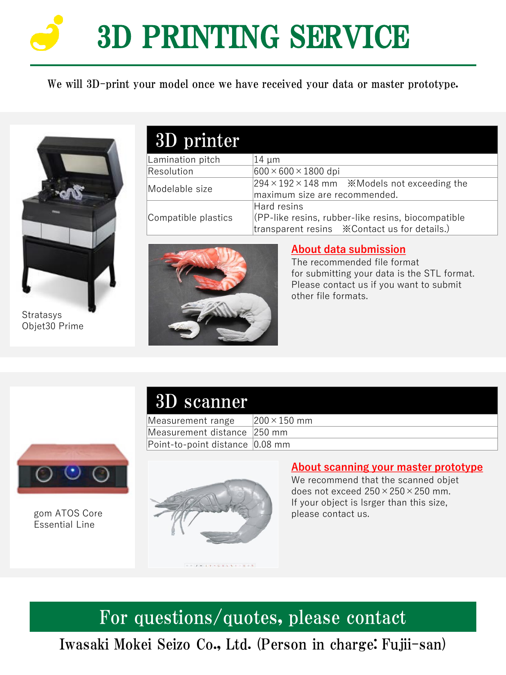# 3D PRINTING SERVICE

We will 3D-print your model once we have received your data or master prototype.



Stratasys Objet30 Prime

# 3D printer

| Lamination pitch    | $14 \mu m$                                                               |
|---------------------|--------------------------------------------------------------------------|
| Resolution          | $600 \times 600 \times 1800$ dpi                                         |
| Modelable size      | $294 \times 192 \times 148$ mm $\cdot$ <i>*</i> Models not exceeding the |
|                     | maximum size are recommended.                                            |
| Compatible plastics | Hard resins                                                              |
|                     | $ $ (PP-like resins, rubber-like resins, biocompatible                   |
|                     |                                                                          |



#### **About data submission**

The recommended file format for submitting your data is the STL format. Please contact us if you want to submit other file formats.

## 3D scanner

Measurement range  $200 \times 150$  mm Measurement distance 250 mm Point-to-point distance 0.08 mm



gom ATOS Core Essential Line



#### **About scanning your master prototype**

We recommend that the scanned objet does not exceed  $250 \times 250 \times 250$  mm. If your object is lsrger than this size, please contact us.

## For questions/quotes, please contact

Iwasaki Mokei Seizo Co., Ltd. (Person in charge: Fujii-san)